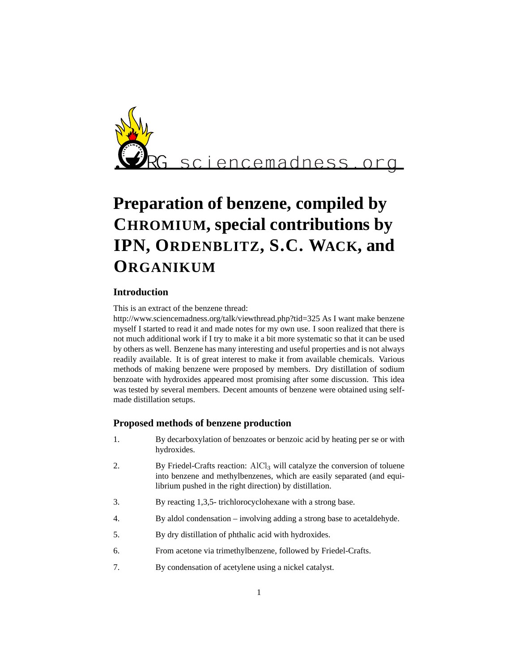

# **Preparation of benzene, compiled by CHROMIUM, special contributions by IPN, ORDENBLITZ, S.C. WACK, and ORGANIKUM**

# **Introduction**

This is an extract of the benzene thread:

http://www.sciencemadness.org/talk/viewthread.php?tid=325 As I want make benzene myself I started to read it and made notes for my own use. I soon realized that there is not much additional work if I try to make it a bit more systematic so that it can be used by others as well. Benzene has many interesting and useful properties and is not always readily available. It is of great interest to make it from available chemicals. Various methods of making benzene were proposed by members. Dry distillation of sodium benzoate with hydroxides appeared most promising after some discussion. This idea was tested by several members. Decent amounts of benzene were obtained using selfmade distillation setups.

## **Proposed methods of benzene production**

- 1. By decarboxylation of benzoates or benzoic acid by heating per se or with hydroxides.
- 2. By Friedel-Crafts reaction: AlCl<sub>3</sub> will catalyze the conversion of toluene into benzene and methylbenzenes, which are easily separated (and equilibrium pushed in the right direction) by distillation.
- 3. By reacting 1,3,5- trichlorocyclohexane with a strong base.
- 4. By aldol condensation involving adding a strong base to acetaldehyde.
- 5. By dry distillation of phthalic acid with hydroxides.
- 6. From acetone via trimethylbenzene, followed by Friedel-Crafts.
- 7. By condensation of acetylene using a nickel catalyst.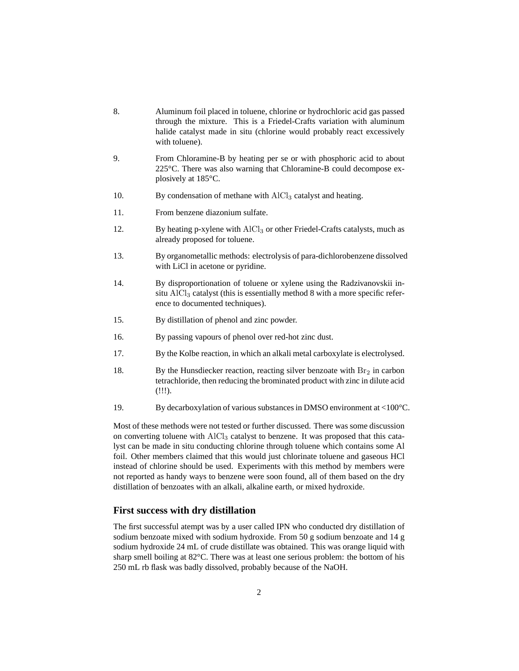- 8. Aluminum foil placed in toluene, chlorine or hydrochloric acid gas passed through the mixture. This is a Friedel-Crafts variation with aluminum halide catalyst made in situ (chlorine would probably react excessively with toluene).
- 9. From Chloramine-B by heating per se or with phosphoric acid to about 225°C. There was also warning that Chloramine-B could decompose explosively at 185°C.
- 10. By condensation of methane with  $AICI<sub>3</sub>$  catalyst and heating.
- 11. From benzene diazonium sulfate.
- 12. By heating p-xylene with  $AIC<sub>13</sub>$  or other Friedel-Crafts catalysts, much as already proposed for toluene.
- 13. By organometallic methods: electrolysis of para-dichlorobenzene dissolved with LiCl in acetone or pyridine.
- 14. By disproportionation of toluene or xylene using the Radzivanovskii insitu  $AICI<sub>3</sub>$  catalyst (this is essentially method 8 with a more specific reference to documented techniques).
- 15. By distillation of phenol and zinc powder.
- 16. By passing vapours of phenol over red-hot zinc dust.
- 17. By the Kolbe reaction, in which an alkali metal carboxylate is electrolysed.
- 18. By the Hunsdiecker reaction, reacting silver benzoate with  $\text{Br}_2$  in carbon tetrachloride, then reducing the brominated product with zinc in dilute acid (!!!).
- 19. By decarboxylation of various substances in DMSO environment at <100°C.

Most of these methods were not tested or further discussed. There was some discussion on converting toluene with AlCl<sub>3</sub> catalyst to benzene. It was proposed that this catalyst can be made in situ conducting chlorine through toluene which contains some Al foil. Other members claimed that this would just chlorinate toluene and gaseous HCl instead of chlorine should be used. Experiments with this method by members were not reported as handy ways to benzene were soon found, all of them based on the dry distillation of benzoates with an alkali, alkaline earth, or mixed hydroxide.

#### **First success with dry distillation**

The first successful atempt was by a user called IPN who conducted dry distillation of sodium benzoate mixed with sodium hydroxide. From 50 g sodium benzoate and 14 g sodium hydroxide 24 mL of crude distillate was obtained. This was orange liquid with sharp smell boiling at 82°C. There was at least one serious problem: the bottom of his 250 mL rb flask was badly dissolved, probably because of the NaOH.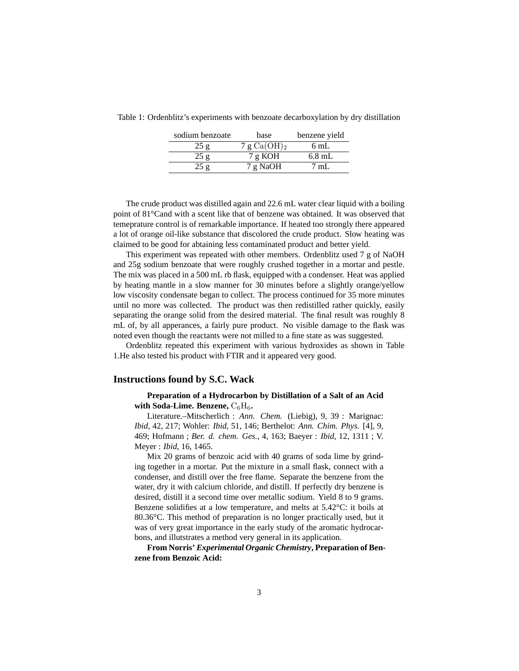| sodium benzoate | base           | benzene yield  |
|-----------------|----------------|----------------|
| 25g             | 7 g $Ca(OH)_2$ | 6 mL           |
| 25g             | 7 g KOH        | $6.8$ mL       |
| 25 g            | 7 g NaOH       | $7 \text{ mL}$ |

Table 1: Ordenblitz's experiments with benzoate decarboxylation by dry distillation

The crude product was distilled again and 22.6 mL water clear liquid with a boiling point of 81°Cand with a scent like that of benzene was obtained. It was observed that temeprature control is of remarkable importance. If heated too strongly there appeared a lot of orange oil-like substance that discolored the crude product. Slow heating was claimed to be good for abtaining less contaminated product and better yield.

This experiment was repeated with other members. Ordenblitz used 7 g of NaOH and 25g sodium benzoate that were roughly crushed together in a mortar and pestle. The mix was placed in a 500 mL rb flask, equipped with a condenser. Heat was applied by heating mantle in a slow manner for 30 minutes before a slightly orange/yellow low viscosity condensate began to collect. The process continued for 35 more minutes until no more was collected. The product was then redistilled rather quickly, easily separating the orange solid from the desired material. The final result was roughly 8 mL of, by all apperances, a fairly pure product. No visible damage to the flask was noted even though the reactants were not milled to a fine state as was suggested.

Ordenblitz repeated this experiment with various hydroxides as shown in Table 1.He also tested his product with FTIR and it appeared very good.

## **Instructions found by S.C. Wack**

#### **Preparation of a Hydrocarbon by Distillation of a Salt of an Acid** with Soda-Lime. Benzene,  $C_6H_6$ .

Literature.–Mitscherlich : *Ann. Chem.* (Liebig), 9, 39 : Marignac: *Ibid*, 42, 217; Wohler: *Ibid*, 51, 146; Berthelot: *Ann. Chim. Phys.* [4], 9, 469; Hofmann ; *Ber. d. chem. Ges.*, 4, 163; Baeyer : *Ibid*, 12, 1311 ; V. Meyer : *Ibid*, 16, 1465.

Mix 20 grams of benzoic acid with 40 grams of soda lime by grinding together in a mortar. Put the mixture in a small flask, connect with a condenser, and distill over the free flame. Separate the benzene from the water, dry it with calcium chloride, and distill. If perfectly dry benzene is desired, distill it a second time over metallic sodium. Yield 8 to 9 grams. Benzene solidifies at a low temperature, and melts at 5.42°C: it boils at 80.36°C. This method of preparation is no longer practically used, but it was of very great importance in the early study of the aromatic hydrocarbons, and illutstrates a method very general in its application.

**From Norris'** *Experimental Organic Chemistry***, Preparation of Benzene from Benzoic Acid:**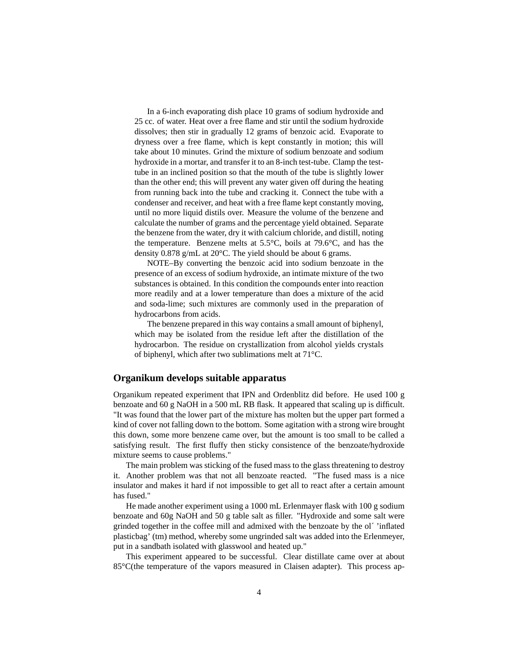In a 6-inch evaporating dish place 10 grams of sodium hydroxide and 25 cc. of water. Heat over a free flame and stir until the sodium hydroxide dissolves; then stir in gradually 12 grams of benzoic acid. Evaporate to dryness over a free flame, which is kept constantly in motion; this will take about 10 minutes. Grind the mixture of sodium benzoate and sodium hydroxide in a mortar, and transfer it to an 8-inch test-tube. Clamp the testtube in an inclined position so that the mouth of the tube is slightly lower than the other end; this will prevent any water given off during the heating from running back into the tube and cracking it. Connect the tube with a condenser and receiver, and heat with a free flame kept constantly moving, until no more liquid distils over. Measure the volume of the benzene and calculate the number of grams and the percentage yield obtained. Separate the benzene from the water, dry it with calcium chloride, and distill, noting the temperature. Benzene melts at 5.5°C, boils at 79.6°C, and has the density 0.878 g/mL at 20°C. The yield should be about 6 grams.

NOTE–By converting the benzoic acid into sodium benzoate in the presence of an excess of sodium hydroxide, an intimate mixture of the two substances is obtained. In this condition the compounds enter into reaction more readily and at a lower temperature than does a mixture of the acid and soda-lime; such mixtures are commonly used in the preparation of hydrocarbons from acids.

The benzene prepared in this way contains a small amount of biphenyl, which may be isolated from the residue left after the distillation of the hydrocarbon. The residue on crystallization from alcohol yields crystals of biphenyl, which after two sublimations melt at 71°C.

#### **Organikum develops suitable apparatus**

Organikum repeated experiment that IPN and Ordenblitz did before. He used 100 g benzoate and 60 g NaOH in a 500 mL RB flask. It appeared that scaling up is difficult. "It was found that the lower part of the mixture has molten but the upper part formed a kind of cover not falling down to the bottom. Some agitation with a strong wire brought this down, some more benzene came over, but the amount is too small to be called a satisfying result. The first fluffy then sticky consistence of the benzoate/hydroxide mixture seems to cause problems."

The main problem was sticking of the fused mass to the glass threatening to destroy it. Another problem was that not all benzoate reacted. "The fused mass is a nice insulator and makes it hard if not impossible to get all to react after a certain amount has fused."

He made another experiment using a 1000 mL Erlenmayer flask with 100 g sodium benzoate and 60g NaOH and 50 g table salt as filler. "Hydroxide and some salt were grinded together in the coffee mill and admixed with the benzoate by the ol´ 'inflated plasticbag' (tm) method, whereby some ungrinded salt was added into the Erlenmeyer, put in a sandbath isolated with glasswool and heated up."

This experiment appeared to be successful. Clear distillate came over at about 85°C(the temperature of the vapors measured in Claisen adapter). This process ap-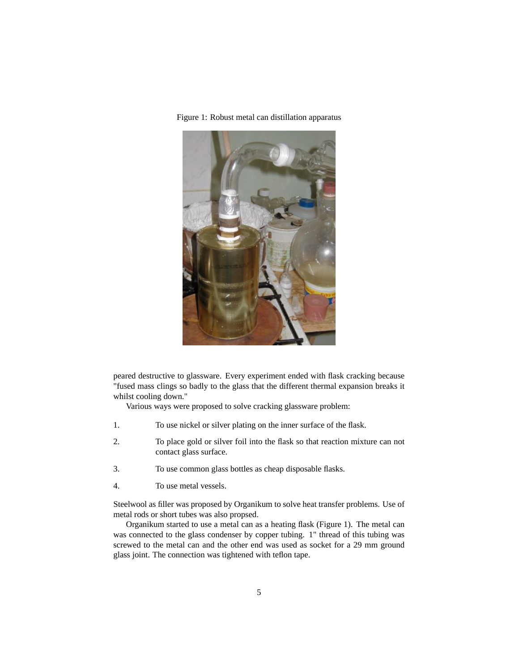

Figure 1: Robust metal can distillation apparatus

peared destructive to glassware. Every experiment ended with flask cracking because "fused mass clings so badly to the glass that the different thermal expansion breaks it whilst cooling down."

Various ways were proposed to solve cracking glassware problem:

- 1. To use nickel or silver plating on the inner surface of the flask.
- 2. To place gold or silver foil into the flask so that reaction mixture can not contact glass surface.
- 3. To use common glass bottles as cheap disposable flasks.
- 4. To use metal vessels.

Steelwool as filler was proposed by Organikum to solve heat transfer problems. Use of metal rods or short tubes was also propsed.

Organikum started to use a metal can as a heating flask (Figure 1). The metal can was connected to the glass condenser by copper tubing. 1" thread of this tubing was screwed to the metal can and the other end was used as socket for a 29 mm ground glass joint. The connection was tightened with teflon tape.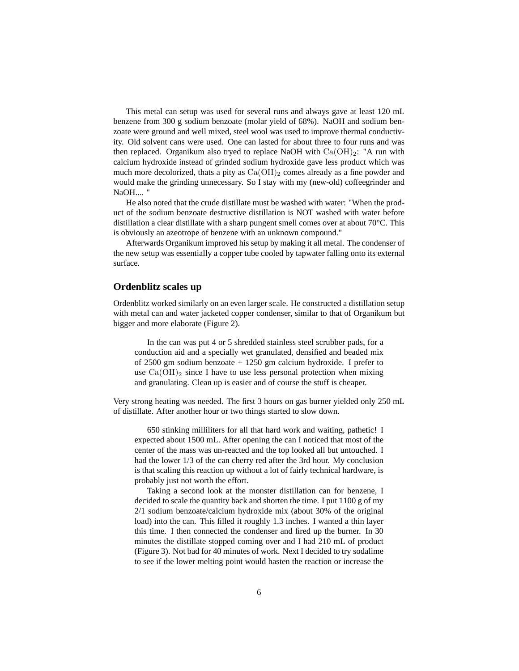This metal can setup was used for several runs and always gave at least 120 mL benzene from 300 g sodium benzoate (molar yield of 68%). NaOH and sodium benzoate were ground and well mixed, steel wool was used to improve thermal conductivity. Old solvent cans were used. One can lasted for about three to four runs and was then replaced. Organikum also tryed to replace NaOH with  $Ca(OH)<sub>2</sub>$ : "A run with calcium hydroxide instead of grinded sodium hydroxide gave less product which was much more decolorized, thats a pity as  $Ca(OH)_2$  comes already as a fine powder and would make the grinding unnecessary. So I stay with my (new-old) coffeegrinder and NaOH.... "

He also noted that the crude distillate must be washed with water: "When the product of the sodium benzoate destructive distillation is NOT washed with water before distillation a clear distillate with a sharp pungent smell comes over at about 70°C. This is obviously an azeotrope of benzene with an unknown compound."

Afterwards Organikum improved his setup by making it all metal. The condenser of the new setup was essentially a copper tube cooled by tapwater falling onto its external surface.

#### **Ordenblitz scales up**

Ordenblitz worked similarly on an even larger scale. He constructed a distillation setup with metal can and water jacketed copper condenser, similar to that of Organikum but bigger and more elaborate (Figure 2).

In the can was put 4 or 5 shredded stainless steel scrubber pads, for a conduction aid and a specially wet granulated, densified and beaded mix of 2500 gm sodium benzoate + 1250 gm calcium hydroxide. I prefer to use  $Ca(OH)_2$  since I have to use less personal protection when mixing and granulating. Clean up is easier and of course the stuff is cheaper.

Very strong heating was needed. The first 3 hours on gas burner yielded only 250 mL of distillate. After another hour or two things started to slow down.

650 stinking milliliters for all that hard work and waiting, pathetic! I expected about 1500 mL. After opening the can I noticed that most of the center of the mass was un-reacted and the top looked all but untouched. I had the lower 1/3 of the can cherry red after the 3rd hour. My conclusion is that scaling this reaction up without a lot of fairly technical hardware, is probably just not worth the effort.

Taking a second look at the monster distillation can for benzene, I decided to scale the quantity back and shorten the time. I put 1100 g of my 2/1 sodium benzoate/calcium hydroxide mix (about 30% of the original load) into the can. This filled it roughly 1.3 inches. I wanted a thin layer this time. I then connected the condenser and fired up the burner. In 30 minutes the distillate stopped coming over and I had 210 mL of product (Figure 3). Not bad for 40 minutes of work. Next I decided to try sodalime to see if the lower melting point would hasten the reaction or increase the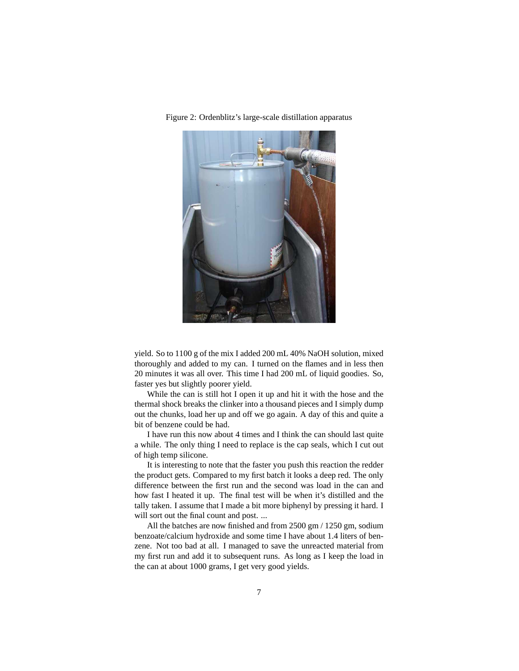

Figure 2: Ordenblitz's large-scale distillation apparatus

yield. So to 1100 g of the mix I added 200 mL 40% NaOH solution, mixed thoroughly and added to my can. I turned on the flames and in less then 20 minutes it was all over. This time I had 200 mL of liquid goodies. So, faster yes but slightly poorer yield.

While the can is still hot I open it up and hit it with the hose and the thermal shock breaks the clinker into a thousand pieces and I simply dump out the chunks, load her up and off we go again. A day of this and quite a bit of benzene could be had.

I have run this now about 4 times and I think the can should last quite a while. The only thing I need to replace is the cap seals, which I cut out of high temp silicone.

It is interesting to note that the faster you push this reaction the redder the product gets. Compared to my first batch it looks a deep red. The only difference between the first run and the second was load in the can and how fast I heated it up. The final test will be when it's distilled and the tally taken. I assume that I made a bit more biphenyl by pressing it hard. I will sort out the final count and post. ...

All the batches are now finished and from 2500 gm / 1250 gm, sodium benzoate/calcium hydroxide and some time I have about 1.4 liters of benzene. Not too bad at all. I managed to save the unreacted material from my first run and add it to subsequent runs. As long as I keep the load in the can at about 1000 grams, I get very good yields.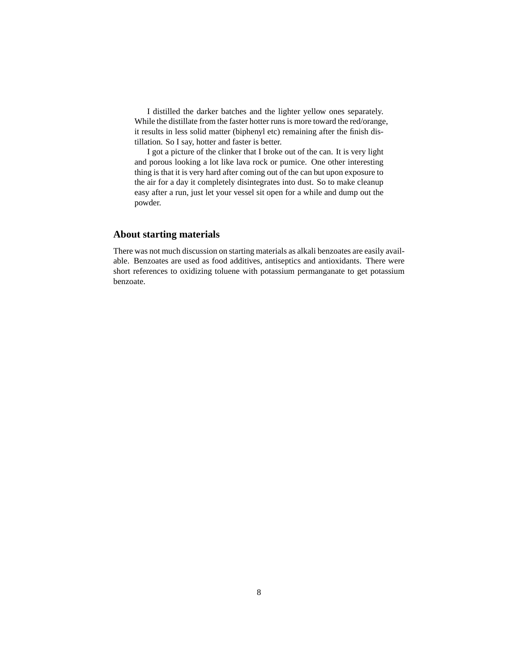I distilled the darker batches and the lighter yellow ones separately. While the distillate from the faster hotter runs is more toward the red/orange, it results in less solid matter (biphenyl etc) remaining after the finish distillation. So I say, hotter and faster is better.

I got a picture of the clinker that I broke out of the can. It is very light and porous looking a lot like lava rock or pumice. One other interesting thing is that it is very hard after coming out of the can but upon exposure to the air for a day it completely disintegrates into dust. So to make cleanup easy after a run, just let your vessel sit open for a while and dump out the powder.

# **About starting materials**

There was not much discussion on starting materials as alkali benzoates are easily available. Benzoates are used as food additives, antiseptics and antioxidants. There were short references to oxidizing toluene with potassium permanganate to get potassium benzoate.